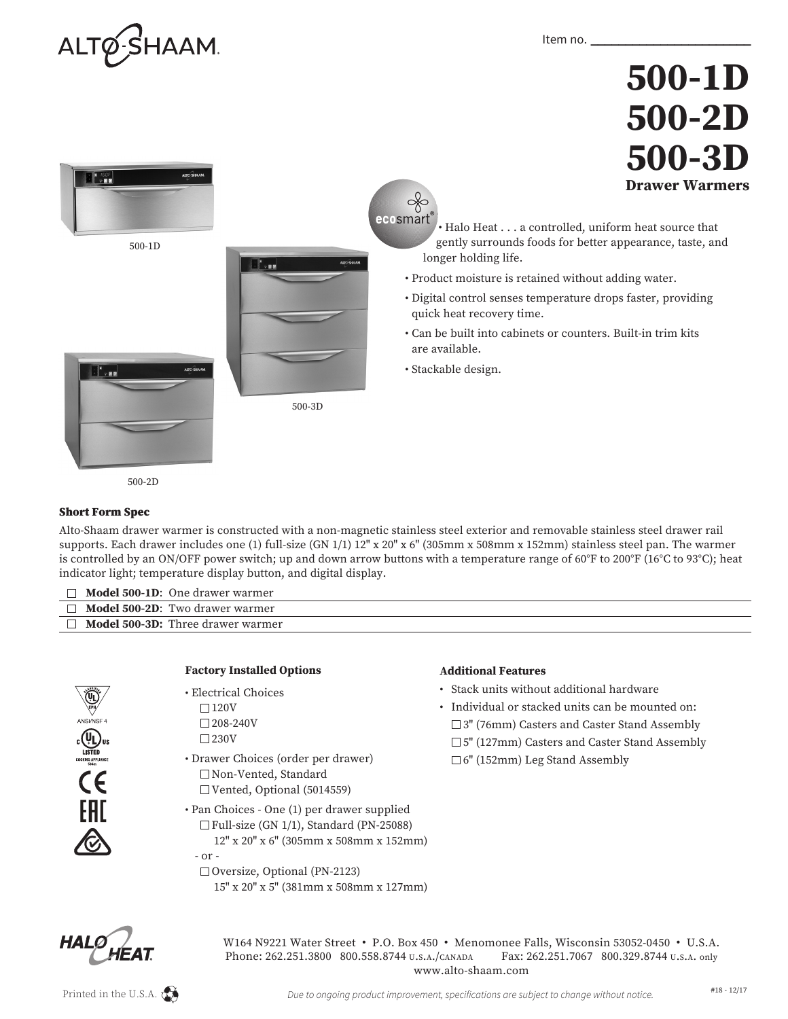

## **500-1D 500-2D 500-3D Drawer Warmers**



500-2D

## Short Form Spec

Alto-Shaam drawer warmer is constructed with a non-magnetic stainless steel exterior and removable stainless steel drawer rail supports. Each drawer includes one (1) full-size (GN 1/1) 12" x 20" x 6" (305mm x 508mm x 152mm) stainless steel pan. The warmer is controlled by an ON/OFF power switch; up and down arrow buttons with a temperature range of 60°F to 200°F (16°C to 93°C); heat indicator light; temperature display button, and digital display.

| <b>Model 500-1D:</b> One drawer warmer        |
|-----------------------------------------------|
| $\Box$ <b>Model 500-2D:</b> Two drawer warmer |
| <b>Model 500-3D:</b> Three drawer warmer      |
|                                               |
|                                               |



| <b>Factory Installed Options</b> |  |
|----------------------------------|--|
|                                  |  |

- Electrical Choices  $\Box$ 120V  $\square$  208-240V  $\square$  230V
- Drawer Choices (order per drawer) Non-Vented, Standard Vented, Optional (5014559)
- Pan Choices One (1) per drawer supplied  $\Box$  Full-size (GN 1/1), Standard (PN-25088) 12" x 20" x 6" (305mm x 508mm x 152mm) - or -
	- □ Oversize, Optional (PN-2123) 15" x 20" x 5" (381mm x 508mm x 127mm)

## **Additional Features**

- Stack units without additional hardware
- Individual or stacked units can be mounted on: □ 3" (76mm) Casters and Caster Stand Assembly □ 5" (127mm) Casters and Caster Stand Assembly
- $\square$  6" (152mm) Leg Stand Assembly



W164 N9221 Water Street • P.O. Box 450 • Menomonee Falls, Wisconsin 53052-0450 • U.S.A. Phone: 262.251.3800 800.558.8744 U.S.A./CANADA Fax: 262.251.7067 800.329.8744 U.S.A. only www.alto-shaam.com